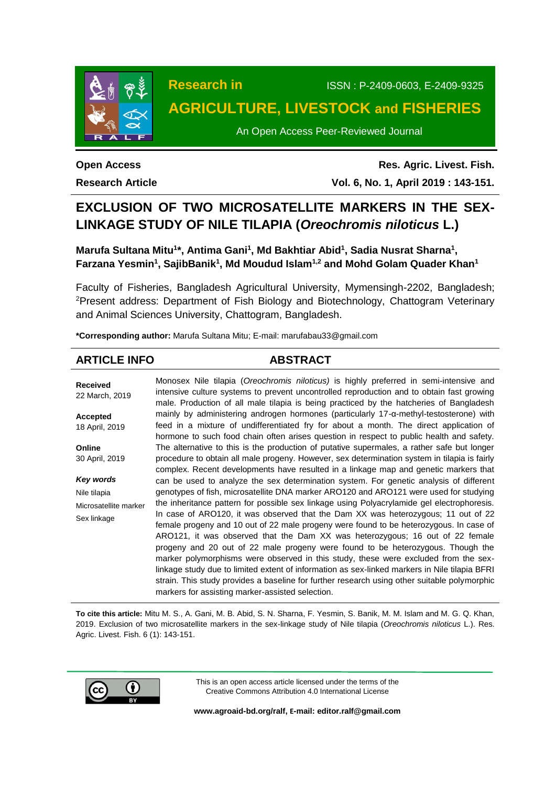

# **Research in** ISSN : P-2409-0603, E-2409-9325 **AGRICULTURE, LIVESTOCK and FISHERIES**

An Open Access Peer-Reviewed Journal

**Open Access Research Article**

**Res. Agric. Livest. Fish. Vol. 6, No. 1, April 2019 : 143-151.**

# **EXCLUSION OF TWO MICROSATELLITE MARKERS IN THE SEX-LINKAGE STUDY OF NILE TILAPIA (***Oreochromis niloticus* **L.)**

**Marufa Sultana Mitu<sup>1\*</sup>, Antima Gani<sup>1</sup>, Md Bakhtiar Abid<sup>1</sup>, Sadia Nusrat Sharna<sup>1</sup>, Farzana Yesmin<sup>1</sup> , SajibBanik<sup>1</sup> , Md Moudud Islam1,2 and Mohd Golam Quader Khan<sup>1</sup>**

Faculty of Fisheries, Bangladesh Agricultural University, Mymensingh-2202, Bangladesh; <sup>2</sup>Present address: Department of Fish Biology and Biotechnology, Chattogram Veterinary and Animal Sciences University, Chattogram, Bangladesh.

**\*Corresponding author:** Marufa Sultana Mitu; E-mail[: marufabau33@gmail.com](mailto:marufabau33@gmail.com)

# **ARTICLE INFO ABSTRACT**

**Received** 22 March, 2019 **Accepted** 18 April, 2019 **Online** 30 April, 2019 *Key words* Nile tilapia Microsatellite marker Sex linkage Monosex Nile tilapia (*Oreochromis niloticus)* is highly preferred in semi-intensive and intensive culture systems to prevent uncontrolled reproduction and to obtain fast growing male. Production of all male tilapia is being practiced by the hatcheries of Bangladesh mainly by administering androgen hormones (particularly 17-α-methyl-testosterone) with feed in a mixture of undifferentiated fry for about a month. The direct application of hormone to such food chain often arises question in respect to public health and safety. The alternative to this is the production of putative supermales, a rather safe but longer procedure to obtain all male progeny. However, sex determination system in tilapia is fairly complex. Recent developments have resulted in a linkage map and genetic markers that can be used to analyze the sex determination system. For genetic analysis of different genotypes of fish, microsatellite DNA marker ARO120 and ARO121 were used for studying the inheritance pattern for possible sex linkage using Polyacrylamide gel electrophoresis. In case of ARO120, it was observed that the Dam XX was heterozygous; 11 out of 22 female progeny and 10 out of 22 male progeny were found to be heterozygous. In case of ARO121, it was observed that the Dam XX was heterozygous; 16 out of 22 female progeny and 20 out of 22 male progeny were found to be heterozygous. Though the marker polymorphisms were observed in this study, these were excluded from the sexlinkage study due to limited extent of information as sex-linked markers in Nile tilapia BFRI strain. This study provides a baseline for further research using other suitable polymorphic markers for assisting marker-assisted selection.

**To cite this article:** Mitu M. S., A. Gani, M. B. Abid, S. N. Sharna, F. Yesmin, S. Banik, M. M. Islam and M. G. Q. Khan, 2019. Exclusion of two microsatellite markers in the sex-linkage study of Nile tilapia (*Oreochromis niloticus* L.). Res. Agric. Livest. Fish. 6 (1): 143-151.



This is an open access article licensed under the terms of the Creative Commons Attribution 4.0 International License

**[www.agroaid-bd.org/ralf,](http://www.agroaid-bd.org/ralf) E-mail[: editor.ralf@gmail.com](mailto:editor.ralf@gmail.com)**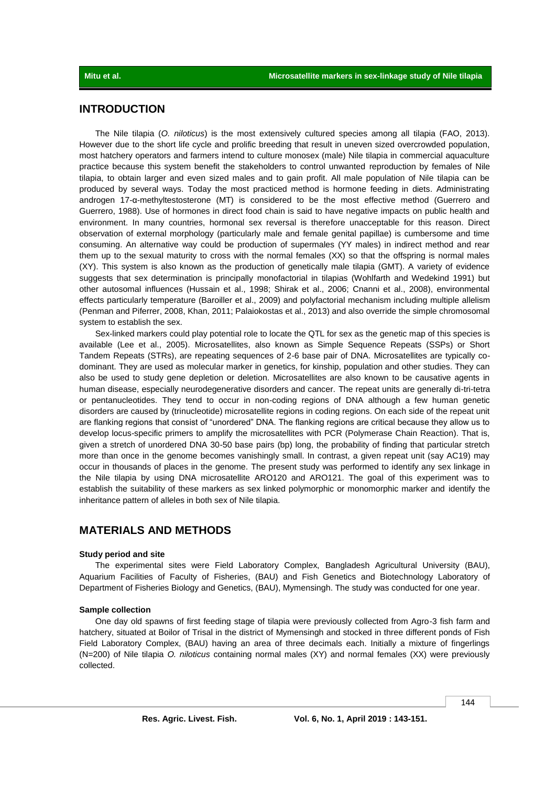# **INTRODUCTION**

The Nile tilapia (*O. niloticus*) is the most extensively cultured species among all tilapia (FAO, 2013). However due to the short life cycle and prolific breeding that result in uneven sized overcrowded population, most hatchery operators and farmers intend to culture monosex (male) Nile tilapia in commercial aquaculture practice because this system benefit the stakeholders to control unwanted reproduction by females of Nile tilapia, to obtain larger and even sized males and to gain profit. All male population of Nile tilapia can be produced by several ways. Today the most practiced method is hormone feeding in diets. Administrating androgen 17-α-methyltestosterone (MT) is considered to be the most effective method (Guerrero and Guerrero, 1988). Use of hormones in direct food chain is said to have negative impacts on public health and environment. In many countries, hormonal sex reversal is therefore unacceptable for this reason. Direct observation of external morphology (particularly male and female genital papillae) is cumbersome and time consuming. An alternative way could be production of supermales (YY males) in indirect method and rear them up to the sexual maturity to cross with the normal females (XX) so that the offspring is normal males (XY). This system is also known as the production of genetically male tilapia (GMT). A variety of evidence suggests that sex determination is principally monofactorial in tilapias (Wohlfarth and Wedekind 1991) but other autosomal influences (Hussain et al., 1998; Shirak et al., 2006; Cnanni et al., 2008), environmental effects particularly temperature (Baroiller et al., 2009) and polyfactorial mechanism including multiple allelism (Penman and Piferrer, 2008, Khan, 2011; Palaiokostas et al., 2013) and also override the simple chromosomal system to establish the sex.

Sex-linked markers could play potential role to locate the QTL for sex as the genetic map of this species is available (Lee et al., 2005). Microsatellites, also known as Simple Sequence Repeats (SSPs) or Short Tandem Repeats (STRs), are repeating sequences of 2-6 base pair of DNA. Microsatellites are typically codominant. They are used as molecular marker in genetics, for kinship, population and other studies. They can also be used to study gene depletion or deletion. Microsatellites are also known to be causative agents in human disease, especially neurodegenerative disorders and cancer. The repeat units are generally di-tri-tetra or pentanucleotides. They tend to occur in non-coding regions of DNA although a few human genetic disorders are caused by (trinucleotide) microsatellite regions in coding regions. On each side of the repeat unit are flanking regions that consist of "unordered" DNA. The flanking regions are critical because they allow us to develop locus-specific primers to amplify the microsatellites with PCR (Polymerase Chain Reaction). That is, given a stretch of unordered DNA 30-50 base pairs (bp) long, the probability of finding that particular stretch more than once in the genome becomes vanishingly small. In contrast, a given repeat unit (say AC19) may occur in thousands of places in the genome. The present study was performed to identify any sex linkage in the Nile tilapia by using DNA microsatellite ARO120 and ARO121. The goal of this experiment was to establish the suitability of these markers as sex linked polymorphic or monomorphic marker and identify the inheritance pattern of alleles in both sex of Nile tilapia.

# **MATERIALS AND METHODS**

### **Study period and site**

The experimental sites were Field Laboratory Complex, Bangladesh Agricultural University (BAU), Aquarium Facilities of Faculty of Fisheries, (BAU) and Fish Genetics and Biotechnology Laboratory of Department of Fisheries Biology and Genetics, (BAU), Mymensingh. The study was conducted for one year.

### **Sample collection**

One day old spawns of first feeding stage of tilapia were previously collected from Agro-3 fish farm and hatchery, situated at Boilor of Trisal in the district of Mymensingh and stocked in three different ponds of Fish Field Laboratory Complex, (BAU) having an area of three decimals each. Initially a mixture of fingerlings (N=200) of Nile tilapia *O. niloticus* containing normal males (XY) and normal females (XX) were previously collected.

144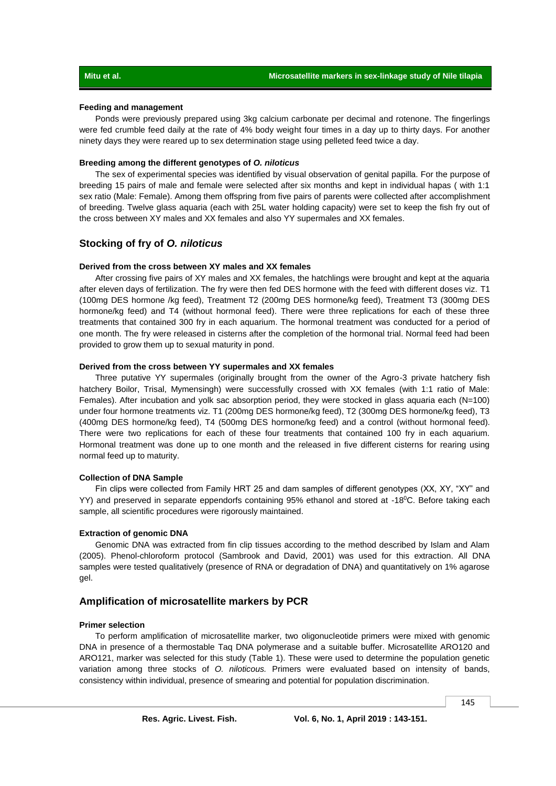### **Feeding and management**

Ponds were previously prepared using 3kg calcium carbonate per decimal and rotenone. The fingerlings were fed crumble feed daily at the rate of 4% body weight four times in a day up to thirty days. For another ninety days they were reared up to sex determination stage using pelleted feed twice a day.

### **Breeding among the different genotypes of** *O. niloticus*

The sex of experimental species was identified by visual observation of genital papilla. For the purpose of breeding 15 pairs of male and female were selected after six months and kept in individual hapas ( with 1:1 sex ratio (Male: Female). Among them offspring from five pairs of parents were collected after accomplishment of breeding. Twelve glass aquaria (each with 25L water holding capacity) were set to keep the fish fry out of the cross between XY males and XX females and also YY supermales and XX females.

### **Stocking of fry of** *O. niloticus*

### **Derived from the cross between XY males and XX females**

After crossing five pairs of XY males and XX females, the hatchlings were brought and kept at the aquaria after eleven days of fertilization. The fry were then fed DES hormone with the feed with different doses viz. T1 (100mg DES hormone /kg feed), Treatment T2 (200mg DES hormone/kg feed), Treatment T3 (300mg DES hormone/kg feed) and T4 (without hormonal feed). There were three replications for each of these three treatments that contained 300 fry in each aquarium. The hormonal treatment was conducted for a period of one month. The fry were released in cisterns after the completion of the hormonal trial. Normal feed had been provided to grow them up to sexual maturity in pond.

### **Derived from the cross between YY supermales and XX females**

Three putative YY supermales (originally brought from the owner of the Agro-3 private hatchery fish hatchery Boilor, Trisal, Mymensingh) were successfully crossed with XX females (with 1:1 ratio of Male: Females). After incubation and yolk sac absorption period, they were stocked in glass aquaria each (N=100) under four hormone treatments viz. T1 (200mg DES hormone/kg feed), T2 (300mg DES hormone/kg feed), T3 (400mg DES hormone/kg feed), T4 (500mg DES hormone/kg feed) and a control (without hormonal feed). There were two replications for each of these four treatments that contained 100 fry in each aquarium. Hormonal treatment was done up to one month and the released in five different cisterns for rearing using normal feed up to maturity.

### **Collection of DNA Sample**

Fin clips were collected from Family HRT 25 and dam samples of different genotypes (XX, XY, "XY" and YY) and preserved in separate eppendorfs containing 95% ethanol and stored at -18<sup>0</sup>C. Before taking each sample, all scientific procedures were rigorously maintained.

### **Extraction of genomic DNA**

Genomic DNA was extracted from fin clip tissues according to the method described by Islam and Alam (2005). Phenol-chloroform protocol (Sambrook and David, 2001) was used for this extraction. All DNA samples were tested qualitatively (presence of RNA or degradation of DNA) and quantitatively on 1% agarose gel.

### **Amplification of microsatellite markers by PCR**

### **Primer selection**

To perform amplification of microsatellite marker, two oligonucleotide primers were mixed with genomic DNA in presence of a thermostable Taq DNA polymerase and a suitable buffer. Microsatellite ARO120 and ARO121, marker was selected for this study (Table 1). These were used to determine the population genetic variation among three stocks of *O. niloticous.* Primers were evaluated based on intensity of bands, consistency within individual, presence of smearing and potential for population discrimination.

145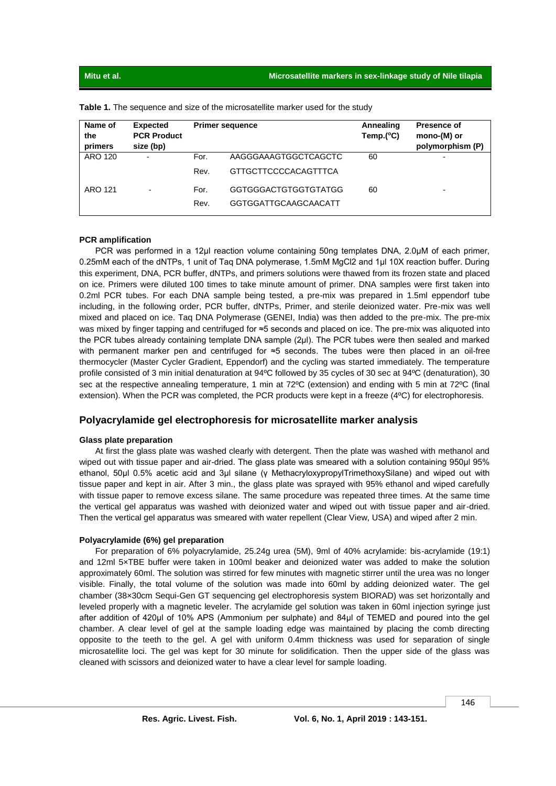| Name of<br>the<br>primers | <b>Expected</b><br><b>PCR Product</b><br>size (bp) |              | <b>Primer sequence</b>                       | Annealing<br>Temp. $(^{\circ}C)$ | <b>Presence of</b><br>mono-(M) or<br>polymorphism (P) |
|---------------------------|----------------------------------------------------|--------------|----------------------------------------------|----------------------------------|-------------------------------------------------------|
| ARO 120                   | $\blacksquare$                                     | For.<br>Rev. | AAGGGAAAGTGGCTCAGCTC<br>GTTGCTTCCCCACAGTTTCA | 60                               | $\blacksquare$                                        |
| ARO 121                   | $\overline{\phantom{0}}$                           | For.<br>Rev. | GGTGGGACTGTGGTGTATGG<br>GGTGGATTGCAAGCAACATT | 60                               | $\overline{\phantom{0}}$                              |

**Table 1.** The sequence and size of the microsatellite marker used for the study

### **PCR amplification**

PCR was performed in a 12μl reaction volume containing 50ng templates DNA, 2.0μM of each primer, 0.25mM each of the dNTPs, 1 unit of Taq DNA polymerase, 1.5mM MgCl2 and 1μl 10X reaction buffer. During this experiment, DNA, PCR buffer, dNTPs, and primers solutions were thawed from its frozen state and placed on ice. Primers were diluted 100 times to take minute amount of primer. DNA samples were first taken into 0.2ml PCR tubes. For each DNA sample being tested, a pre-mix was prepared in 1.5ml eppendorf tube including, in the following order, PCR buffer, dNTPs, Primer, and sterile deionized water. Pre-mix was well mixed and placed on ice. Taq DNA Polymerase (GENEI, India) was then added to the pre-mix. The pre-mix was mixed by finger tapping and centrifuged for ≈5 seconds and placed on ice. The pre-mix was aliquoted into the PCR tubes already containing template DNA sample (2μl). The PCR tubes were then sealed and marked with permanent marker pen and centrifuged for ≈5 seconds. The tubes were then placed in an oil-free thermocycler (Master Cycler Gradient, Eppendorf) and the cycling was started immediately. The temperature profile consisted of 3 min initial denaturation at 94ºC followed by 35 cycles of 30 sec at 94ºC (denaturation), 30 sec at the respective annealing temperature, 1 min at 72ºC (extension) and ending with 5 min at 72ºC (final extension). When the PCR was completed, the PCR products were kept in a freeze (4ºC) for electrophoresis.

## **Polyacrylamide gel electrophoresis for microsatellite marker analysis**

### **Glass plate preparation**

At first the glass plate was washed clearly with detergent. Then the plate was washed with methanol and wiped out with tissue paper and air-dried. The glass plate was smeared with a solution containing 950µl 95% ethanol, 50μl 0.5% acetic acid and 3μl silane (γ MethacryloxypropylTrimethoxySilane) and wiped out with tissue paper and kept in air. After 3 min., the glass plate was sprayed with 95% ethanol and wiped carefully with tissue paper to remove excess silane. The same procedure was repeated three times. At the same time the vertical gel apparatus was washed with deionized water and wiped out with tissue paper and air-dried. Then the vertical gel apparatus was smeared with water repellent (Clear View, USA) and wiped after 2 min.

### **Polyacrylamide (6%) gel preparation**

For preparation of 6% polyacrylamide, 25.24g urea (5M), 9ml of 40% acrylamide: bis-acrylamide (19:1) and 12ml 5×TBE buffer were taken in 100ml beaker and deionized water was added to make the solution approximately 60ml. The solution was stirred for few minutes with magnetic stirrer until the urea was no longer visible. Finally, the total volume of the solution was made into 60ml by adding deionized water. The gel chamber (38×30cm Sequi-Gen GT sequencing gel electrophoresis system BIORAD) was set horizontally and leveled properly with a magnetic leveler. The acrylamide gel solution was taken in 60ml injection syringe just after addition of 420μl of 10% APS (Ammonium per sulphate) and 84μl of TEMED and poured into the gel chamber. A clear level of gel at the sample loading edge was maintained by placing the comb directing opposite to the teeth to the gel. A gel with uniform 0.4mm thickness was used for separation of single microsatellite loci. The gel was kept for 30 minute for solidification. Then the upper side of the glass was cleaned with scissors and deionized water to have a clear level for sample loading.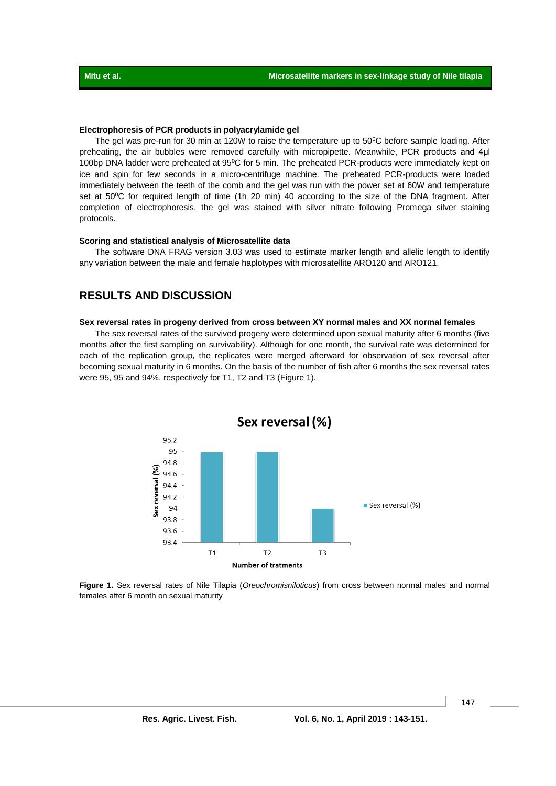### **Electrophoresis of PCR products in polyacrylamide gel**

The gel was pre-run for 30 min at 120W to raise the temperature up to 50°C before sample loading. After preheating, the air bubbles were removed carefully with micropipette. Meanwhile, PCR products and 4µl 100bp DNA ladder were preheated at 95<sup>o</sup>C for 5 min. The preheated PCR-products were immediately kept on ice and spin for few seconds in a micro-centrifuge machine. The preheated PCR-products were loaded immediately between the teeth of the comb and the gel was run with the power set at 60W and temperature set at 50<sup>o</sup>C for required length of time (1h 20 min) 40 according to the size of the DNA fragment. After completion of electrophoresis, the gel was stained with silver nitrate following Promega silver staining protocols.

### **Scoring and statistical analysis of Microsatellite data**

The software DNA FRAG version 3.03 was used to estimate marker length and allelic length to identify any variation between the male and female haplotypes with microsatellite ARO120 and ARO121.

# **RESULTS AND DISCUSSION**

### **Sex reversal rates in progeny derived from cross between XY normal males and XX normal females**

The sex reversal rates of the survived progeny were determined upon sexual maturity after 6 months (five months after the first sampling on survivability). Although for one month, the survival rate was determined for each of the replication group, the replicates were merged afterward for observation of sex reversal after becoming sexual maturity in 6 months. On the basis of the number of fish after 6 months the sex reversal rates were 95, 95 and 94%, respectively for T1, T2 and T3 (Figure 1).



**Figure 1.** Sex reversal rates of Nile Tilapia (*Oreochromisniloticus*) from cross between normal males and normal females after 6 month on sexual maturity

147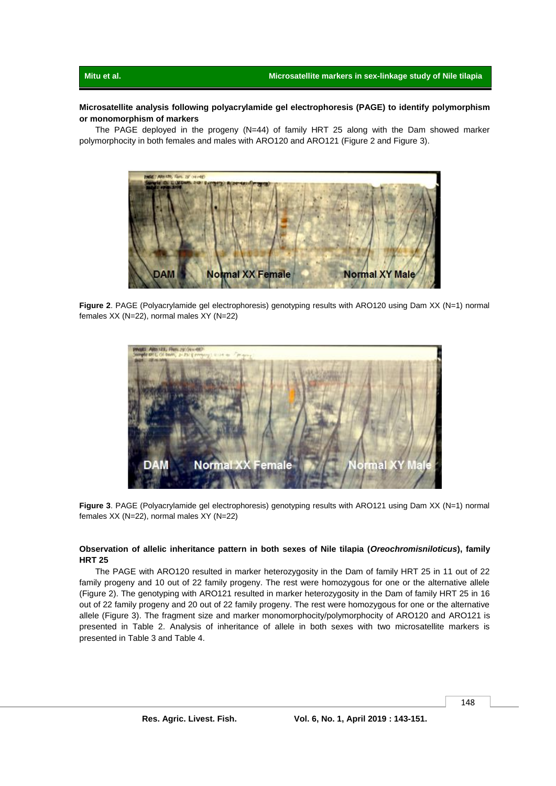### **Microsatellite analysis following polyacrylamide gel electrophoresis (PAGE) to identify polymorphism or monomorphism of markers**

The PAGE deployed in the progeny (N=44) of family HRT 25 along with the Dam showed marker polymorphocity in both females and males with ARO120 and ARO121 (Figure 2 and Figure 3).



**Figure 2**. PAGE (Polyacrylamide gel electrophoresis) genotyping results with ARO120 using Dam XX (N=1) normal females XX (N=22), normal males XY (N=22)



**Figure 3**. PAGE (Polyacrylamide gel electrophoresis) genotyping results with ARO121 using Dam XX (N=1) normal females XX (N=22), normal males XY (N=22)

### **Observation of allelic inheritance pattern in both sexes of Nile tilapia (***Oreochromisniloticus***), family HRT 25**

The PAGE with ARO120 resulted in marker heterozygosity in the Dam of family HRT 25 in 11 out of 22 family progeny and 10 out of 22 family progeny. The rest were homozygous for one or the alternative allele (Figure 2). The genotyping with ARO121 resulted in marker heterozygosity in the Dam of family HRT 25 in 16 out of 22 family progeny and 20 out of 22 family progeny. The rest were homozygous for one or the alternative allele (Figure 3). The fragment size and marker monomorphocity/polymorphocity of ARO120 and ARO121 is presented in Table 2. Analysis of inheritance of allele in both sexes with two microsatellite markers is presented in Table 3 and Table 4.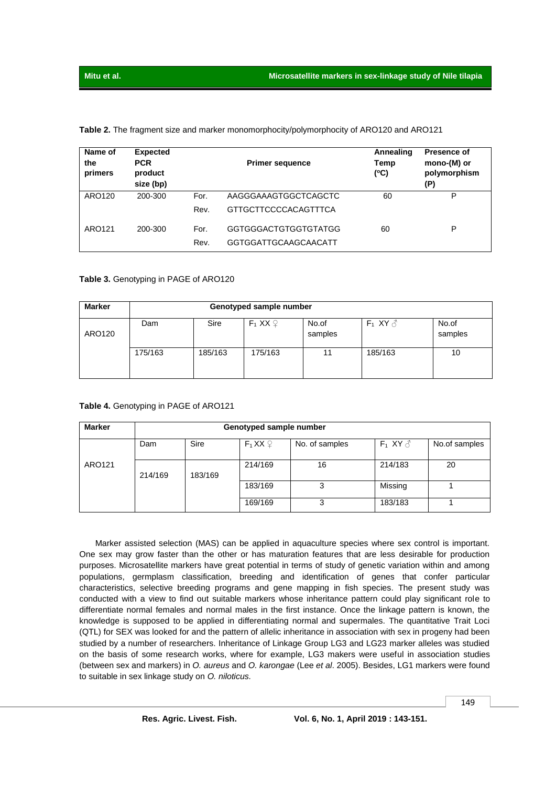|  |  |  |  |  | Table 2. The fragment size and marker monomorphocity/polymorphocity of ARO120 and ARO121 |
|--|--|--|--|--|------------------------------------------------------------------------------------------|
|--|--|--|--|--|------------------------------------------------------------------------------------------|

| Name of<br>the<br>primers | <b>Expected</b><br><b>PCR</b><br>product<br>size (bp) |      | <b>Primer sequence</b> | Annealing<br>Temp<br>(°C) | <b>Presence of</b><br>mono-(M) or<br>polymorphism<br>(P) |
|---------------------------|-------------------------------------------------------|------|------------------------|---------------------------|----------------------------------------------------------|
| ARO120                    | 200-300                                               | For. | AAGGGAAAGTGGCTCAGCTC   | 60                        | P                                                        |
|                           |                                                       | Rev. | GTTGCTTCCCCACAGTTTCA   |                           |                                                          |
| ARO121                    | 200-300                                               | For. | GGTGGGACTGTGGTGTATGG   | 60                        | P                                                        |
|                           |                                                       | Rev. | GGTGGATTGCAAGCAACATT   |                           |                                                          |

### **Table 3.** Genotyping in PAGE of ARO120

| <b>Marker</b> | Genotyped sample number |         |                        |                  |                  |                  |  |  |
|---------------|-------------------------|---------|------------------------|------------------|------------------|------------------|--|--|
| ARO120        | Dam                     | Sire    | $F_1$ XX $\mathcal{Q}$ | No.of<br>samples | $F_1$ XY $\beta$ | No.of<br>samples |  |  |
|               | 175/163                 | 185/163 | 175/163                | 11               | 185/163          | 10               |  |  |

### **Table 4.** Genotyping in PAGE of ARO121

| <b>Marker</b> | Genotyped sample number |         |                         |                |                  |               |  |  |
|---------------|-------------------------|---------|-------------------------|----------------|------------------|---------------|--|--|
|               | Dam                     | Sire    | $F_1$ XX $\circledcirc$ | No. of samples | $F_1$ XY $\beta$ | No.of samples |  |  |
| ARO121        | 214/169                 | 183/169 | 214/169                 | 16             | 214/183          | 20            |  |  |
|               |                         |         | 183/169                 | 3              | Missing          |               |  |  |
|               |                         |         | 169/169                 | 3              | 183/183          |               |  |  |

Marker assisted selection (MAS) can be applied in aquaculture species where sex control is important. One sex may grow faster than the other or has maturation features that are less desirable for production purposes. Microsatellite markers have great potential in terms of study of genetic variation within and among populations, germplasm classification, breeding and identification of genes that confer particular characteristics, selective breeding programs and gene mapping in fish species. The present study was conducted with a view to find out suitable markers whose inheritance pattern could play significant role to differentiate normal females and normal males in the first instance. Once the linkage pattern is known, the knowledge is supposed to be applied in differentiating normal and supermales. The quantitative Trait Loci (QTL) for SEX was looked for and the pattern of allelic inheritance in association with sex in progeny had been studied by a number of researchers. Inheritance of Linkage Group LG3 and LG23 marker alleles was studied on the basis of some research works, where for example, LG3 makers were useful in association studies (between sex and markers) in *O. aureus* and *O. karongae* (Lee *et al*. 2005). Besides, LG1 markers were found to suitable in sex linkage study on *O. niloticus.*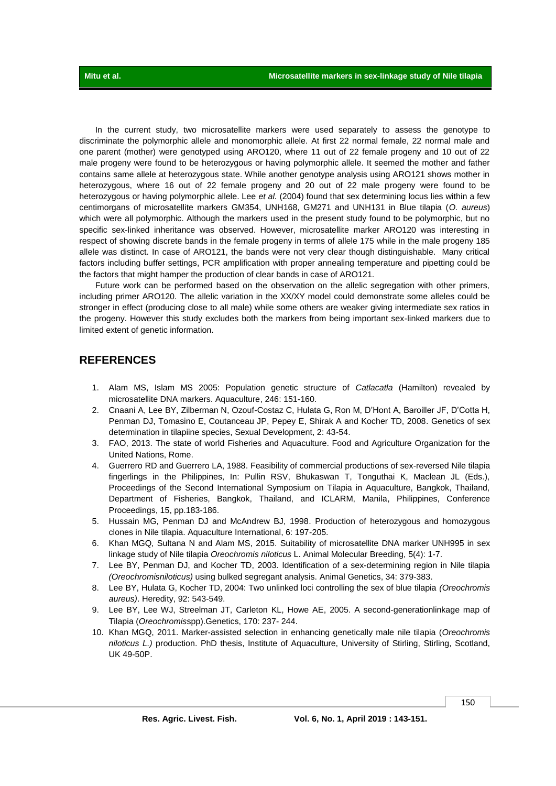In the current study, two microsatellite markers were used separately to assess the genotype to discriminate the polymorphic allele and monomorphic allele. At first 22 normal female, 22 normal male and one parent (mother) were genotyped using ARO120, where 11 out of 22 female progeny and 10 out of 22 male progeny were found to be heterozygous or having polymorphic allele. It seemed the mother and father contains same allele at heterozygous state. While another genotype analysis using ARO121 shows mother in heterozygous, where 16 out of 22 female progeny and 20 out of 22 male progeny were found to be heterozygous or having polymorphic allele. Lee *et al.* (2004) found that sex determining locus lies within a few centimorgans of microsatellite markers GM354, UNH168, GM271 and UNH131 in Blue tilapia (*O. aureus*) which were all polymorphic. Although the markers used in the present study found to be polymorphic, but no specific sex-linked inheritance was observed. However, microsatellite marker ARO120 was interesting in respect of showing discrete bands in the female progeny in terms of allele 175 while in the male progeny 185 allele was distinct. In case of ARO121, the bands were not very clear though distinguishable. Many critical factors including buffer settings, PCR amplification with proper annealing temperature and pipetting could be the factors that might hamper the production of clear bands in case of ARO121.

Future work can be performed based on the observation on the allelic segregation with other primers, including primer ARO120. The allelic variation in the XX/XY model could demonstrate some alleles could be stronger in effect (producing close to all male) while some others are weaker giving intermediate sex ratios in the progeny. However this study excludes both the markers from being important sex-linked markers due to limited extent of genetic information.

# **REFERENCES**

- 1. Alam MS, Islam MS 2005: Population genetic structure of *Catlacatla* (Hamilton) revealed by microsatellite DNA markers. Aquaculture, 246: 151-160.
- 2. Cnaani A, Lee BY, Zilberman N, Ozouf-Costaz C, Hulata G, Ron M, D'Hont A, Baroiller JF, D'Cotta H, Penman DJ, Tomasino E, Coutanceau JP, Pepey E, Shirak A and Kocher TD, 2008. Genetics of sex determination in tilapiine species, Sexual Development, 2: 43-54.
- 3. FAO, 2013. The state of world Fisheries and Aquaculture. Food and Agriculture Organization for the United Nations, Rome.
- 4. Guerrero RD and Guerrero LA, 1988. Feasibility of commercial productions of sex-reversed Nile tilapia fingerlings in the Philippines, In: Pullin RSV, Bhukaswan T, Tonguthai K, Maclean JL (Eds.), Proceedings of the Second International Symposium on Tilapia in Aquaculture, Bangkok, Thailand, Department of Fisheries, Bangkok, Thailand, and ICLARM, Manila, Philippines, Conference Proceedings, 15, pp.183-186.
- 5. Hussain MG, Penman DJ and McAndrew BJ, 1998. Production of heterozygous and homozygous clones in Nile tilapia. Aquaculture International, 6: 197-205.
- 6. Khan MGQ, Sultana N and Alam MS, 2015. Suitability of microsatellite DNA marker UNH995 in sex linkage study of Nile tilapia *Oreochromis niloticus* L. Animal Molecular Breeding, 5(4): 1-7.
- 7. Lee BY, Penman DJ, and Kocher TD, 2003. Identification of a sex-determining region in Nile tilapia *(Oreochromisniloticus)* using bulked segregant analysis. Animal Genetics, 34: 379-383.
- 8. Lee BY, Hulata G, Kocher TD, 2004: Two unlinked loci controlling the sex of blue tilapia *(Oreochromis aureus)*. Heredity, 92: 543-549.
- 9. Lee BY, Lee WJ, Streelman JT, Carleton KL, Howe AE, 2005. A second-generationlinkage map of Tilapia (*Oreochromis*spp).Genetics, 170: 237- 244.
- 10. Khan MGQ, 2011. Marker-assisted selection in enhancing genetically male nile tilapia (*Oreochromis niloticus L.)* production. PhD thesis, Institute of Aquaculture, University of Stirling, Stirling, Scotland, UK 49-50P.